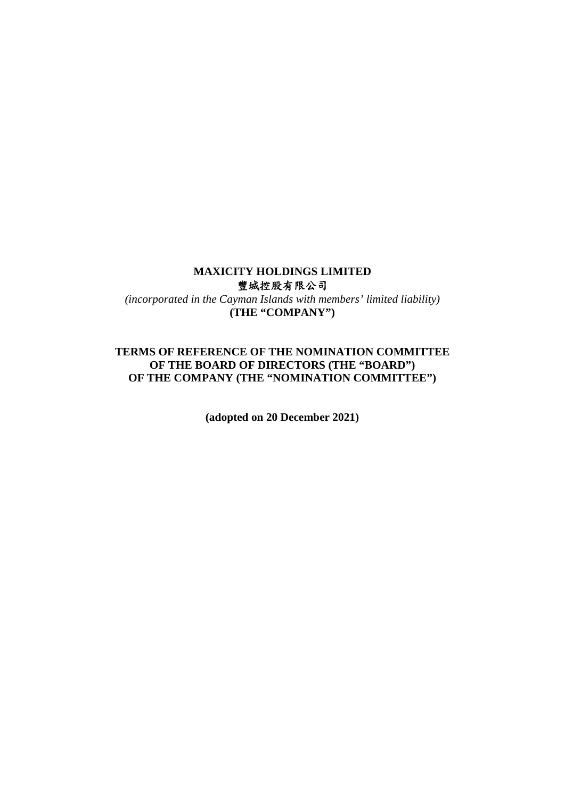#### **MAXICITY HOLDINGS LIMITED**  豐城控股有限公司

*(incorporated in the Cayman Islands with members' limited liability)*  **(THE "COMPANY")** 

## **TERMS OF REFERENCE OF THE NOMINATION COMMITTEE OF THE BOARD OF DIRECTORS (THE "BOARD") OF THE COMPANY (THE "NOMINATION COMMITTEE")**

**(adopted on 20 December 2021)**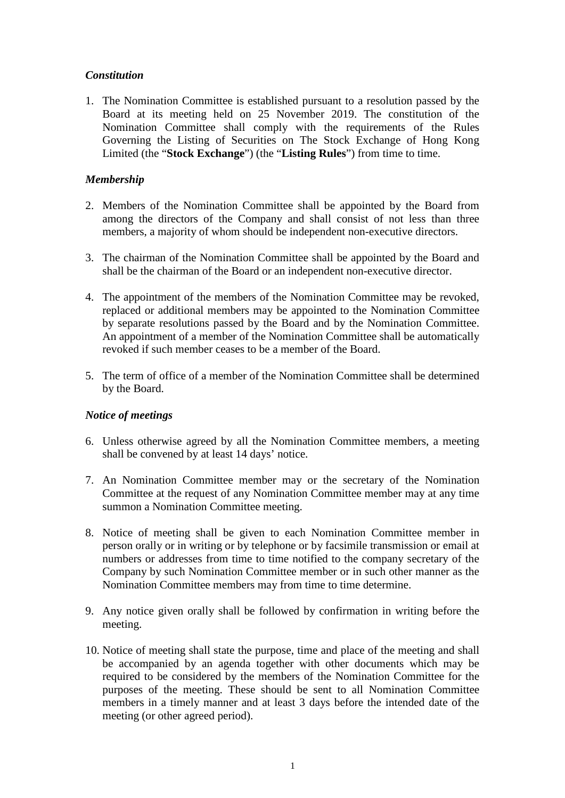# *Constitution*

1. The Nomination Committee is established pursuant to a resolution passed by the Board at its meeting held on 25 November 2019. The constitution of the Nomination Committee shall comply with the requirements of the Rules Governing the Listing of Securities on The Stock Exchange of Hong Kong Limited (the "**Stock Exchange**") (the "**Listing Rules**") from time to time.

# *Membership*

- 2. Members of the Nomination Committee shall be appointed by the Board from among the directors of the Company and shall consist of not less than three members, a majority of whom should be independent non-executive directors.
- 3. The chairman of the Nomination Committee shall be appointed by the Board and shall be the chairman of the Board or an independent non-executive director.
- 4. The appointment of the members of the Nomination Committee may be revoked, replaced or additional members may be appointed to the Nomination Committee by separate resolutions passed by the Board and by the Nomination Committee. An appointment of a member of the Nomination Committee shall be automatically revoked if such member ceases to be a member of the Board.
- 5. The term of office of a member of the Nomination Committee shall be determined by the Board.

#### *Notice of meetings*

- 6. Unless otherwise agreed by all the Nomination Committee members, a meeting shall be convened by at least 14 days' notice.
- 7. An Nomination Committee member may or the secretary of the Nomination Committee at the request of any Nomination Committee member may at any time summon a Nomination Committee meeting.
- 8. Notice of meeting shall be given to each Nomination Committee member in person orally or in writing or by telephone or by facsimile transmission or email at numbers or addresses from time to time notified to the company secretary of the Company by such Nomination Committee member or in such other manner as the Nomination Committee members may from time to time determine.
- 9. Any notice given orally shall be followed by confirmation in writing before the meeting.
- 10. Notice of meeting shall state the purpose, time and place of the meeting and shall be accompanied by an agenda together with other documents which may be required to be considered by the members of the Nomination Committee for the purposes of the meeting. These should be sent to all Nomination Committee members in a timely manner and at least 3 days before the intended date of the meeting (or other agreed period).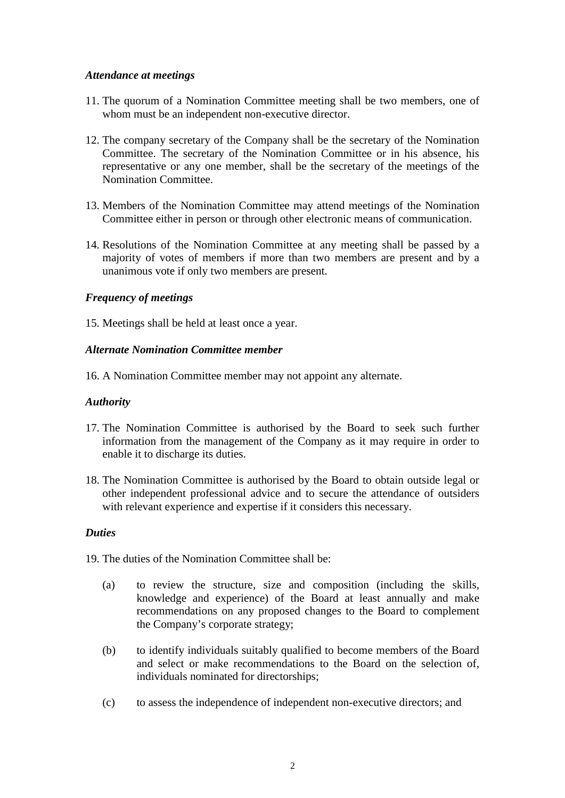### *Attendance at meetings*

- 11. The quorum of a Nomination Committee meeting shall be two members, one of whom must be an independent non-executive director.
- 12. The company secretary of the Company shall be the secretary of the Nomination Committee. The secretary of the Nomination Committee or in his absence, his representative or any one member, shall be the secretary of the meetings of the Nomination Committee.
- 13. Members of the Nomination Committee may attend meetings of the Nomination Committee either in person or through other electronic means of communication.
- 14. Resolutions of the Nomination Committee at any meeting shall be passed by a majority of votes of members if more than two members are present and by a unanimous vote if only two members are present.

## *Frequency of meetings*

15. Meetings shall be held at least once a year.

## *Alternate Nomination Committee member*

16. A Nomination Committee member may not appoint any alternate.

#### *Authority*

- 17. The Nomination Committee is authorised by the Board to seek such further information from the management of the Company as it may require in order to enable it to discharge its duties.
- 18. The Nomination Committee is authorised by the Board to obtain outside legal or other independent professional advice and to secure the attendance of outsiders with relevant experience and expertise if it considers this necessary.

#### *Duties*

19. The duties of the Nomination Committee shall be:

- (a) to review the structure, size and composition (including the skills, knowledge and experience) of the Board at least annually and make recommendations on any proposed changes to the Board to complement the Company's corporate strategy;
- (b) to identify individuals suitably qualified to become members of the Board and select or make recommendations to the Board on the selection of, individuals nominated for directorships;
- (c) to assess the independence of independent non-executive directors; and